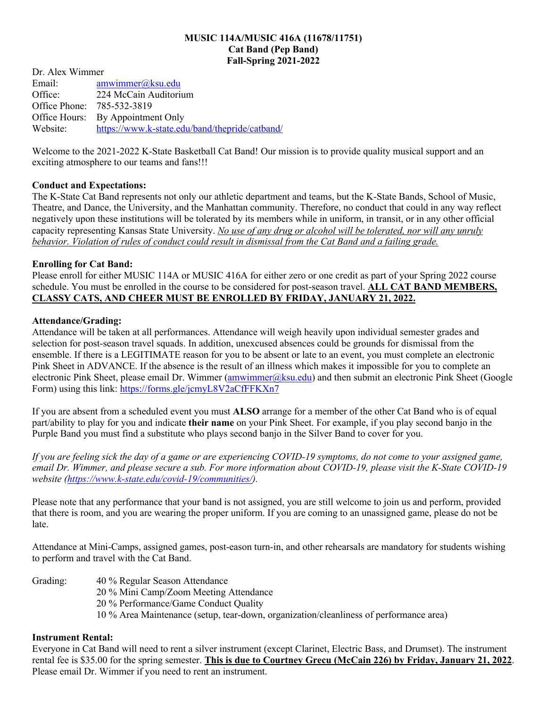#### **MUSIC 114A/MUSIC 416A (11678/11751) Cat Band (Pep Band) Fall-Spring 2021-2022**

Dr. Alex Wimmer Email: amwimmer@ksu.edu Office: 224 McCain Auditorium Office Phone: 785-532-3819 Office Hours: By Appointment Only Website: https://www.k-state.edu/band/thepride/catband/

Welcome to the 2021-2022 K-State Basketball Cat Band! Our mission is to provide quality musical support and an exciting atmosphere to our teams and fans!!!

# **Conduct and Expectations:**

The K-State Cat Band represents not only our athletic department and teams, but the K-State Bands, School of Music, Theatre, and Dance, the University, and the Manhattan community. Therefore, no conduct that could in any way reflect negatively upon these institutions will be tolerated by its members while in uniform, in transit, or in any other official capacity representing Kansas State University. *No use of any drug or alcohol will be tolerated, nor will any unruly behavior. Violation of rules of conduct could result in dismissal from the Cat Band and a failing grade.*

### **Enrolling for Cat Band:**

Please enroll for either MUSIC 114A or MUSIC 416A for either zero or one credit as part of your Spring 2022 course schedule. You must be enrolled in the course to be considered for post-season travel. **ALL CAT BAND MEMBERS, CLASSY CATS, AND CHEER MUST BE ENROLLED BY FRIDAY, JANUARY 21, 2022.**

### **Attendance/Grading:**

Attendance will be taken at all performances. Attendance will weigh heavily upon individual semester grades and selection for post-season travel squads. In addition, unexcused absences could be grounds for dismissal from the ensemble. If there is a LEGITIMATE reason for you to be absent or late to an event, you must complete an electronic Pink Sheet in ADVANCE. If the absence is the result of an illness which makes it impossible for you to complete an electronic Pink Sheet, please email Dr. Wimmer (amwimmer@ksu.edu) and then submit an electronic Pink Sheet (Google Form) using this link: https://forms.gle/jcmyL8V2aCfFFKXn7

If you are absent from a scheduled event you must **ALSO** arrange for a member of the other Cat Band who is of equal part/ability to play for you and indicate **their name** on your Pink Sheet. For example, if you play second banjo in the Purple Band you must find a substitute who plays second banjo in the Silver Band to cover for you.

*If you are feeling sick the day of a game or are experiencing COVID-19 symptoms, do not come to your assigned game, email Dr. Wimmer, and please secure a sub. For more information about COVID-19, please visit the K-State COVID-19 website (https://www.k-state.edu/covid-19/communities/).*

Please note that any performance that your band is not assigned, you are still welcome to join us and perform, provided that there is room, and you are wearing the proper uniform. If you are coming to an unassigned game, please do not be late.

Attendance at Mini-Camps, assigned games, post-eason turn-in, and other rehearsals are mandatory for students wishing to perform and travel with the Cat Band.

Grading: 40 % Regular Season Attendance 20 % Mini Camp/Zoom Meeting Attendance 20 % Performance/Game Conduct Quality 10 % Area Maintenance (setup, tear-down, organization/cleanliness of performance area)

### **Instrument Rental:**

Everyone in Cat Band will need to rent a silver instrument (except Clarinet, Electric Bass, and Drumset). The instrument rental fee is \$35.00 for the spring semester. **This is due to Courtney Grecu (McCain 226) by Friday, January 21, 2022**. Please email Dr. Wimmer if you need to rent an instrument.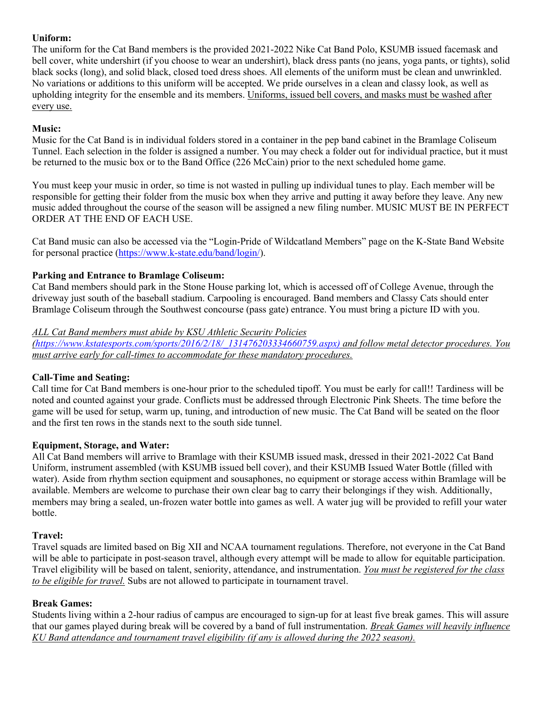# **Uniform:**

The uniform for the Cat Band members is the provided 2021-2022 Nike Cat Band Polo, KSUMB issued facemask and bell cover, white undershirt (if you choose to wear an undershirt), black dress pants (no jeans, yoga pants, or tights), solid black socks (long), and solid black, closed toed dress shoes. All elements of the uniform must be clean and unwrinkled. No variations or additions to this uniform will be accepted. We pride ourselves in a clean and classy look, as well as upholding integrity for the ensemble and its members. Uniforms, issued bell covers, and masks must be washed after every use.

# **Music:**

Music for the Cat Band is in individual folders stored in a container in the pep band cabinet in the Bramlage Coliseum Tunnel. Each selection in the folder is assigned a number. You may check a folder out for individual practice, but it must be returned to the music box or to the Band Office (226 McCain) prior to the next scheduled home game.

You must keep your music in order, so time is not wasted in pulling up individual tunes to play. Each member will be responsible for getting their folder from the music box when they arrive and putting it away before they leave. Any new music added throughout the course of the season will be assigned a new filing number. MUSIC MUST BE IN PERFECT ORDER AT THE END OF EACH USE.

Cat Band music can also be accessed via the "Login-Pride of Wildcatland Members" page on the K-State Band Website for personal practice (https://www.k-state.edu/band/login/).

# **Parking and Entrance to Bramlage Coliseum:**

Cat Band members should park in the Stone House parking lot, which is accessed off of College Avenue, through the driveway just south of the baseball stadium. Carpooling is encouraged. Band members and Classy Cats should enter Bramlage Coliseum through the Southwest concourse (pass gate) entrance. You must bring a picture ID with you.

# *ALL Cat Band members must abide by KSU Athletic Security Policies*

*(https://www.kstatesports.com/sports/2016/2/18/\_131476203334660759.aspx) and follow metal detector procedures. You must arrive early for call-times to accommodate for these mandatory procedures.*

# **Call-Time and Seating:**

Call time for Cat Band members is one-hour prior to the scheduled tipoff. You must be early for call!! Tardiness will be noted and counted against your grade. Conflicts must be addressed through Electronic Pink Sheets. The time before the game will be used for setup, warm up, tuning, and introduction of new music. The Cat Band will be seated on the floor and the first ten rows in the stands next to the south side tunnel.

# **Equipment, Storage, and Water:**

All Cat Band members will arrive to Bramlage with their KSUMB issued mask, dressed in their 2021-2022 Cat Band Uniform, instrument assembled (with KSUMB issued bell cover), and their KSUMB Issued Water Bottle (filled with water). Aside from rhythm section equipment and sousaphones, no equipment or storage access within Bramlage will be available. Members are welcome to purchase their own clear bag to carry their belongings if they wish. Additionally, members may bring a sealed, un-frozen water bottle into games as well. A water jug will be provided to refill your water bottle.

# **Travel:**

Travel squads are limited based on Big XII and NCAA tournament regulations. Therefore, not everyone in the Cat Band will be able to participate in post-season travel, although every attempt will be made to allow for equitable participation. Travel eligibility will be based on talent, seniority, attendance, and instrumentation. *You must be registered for the class to be eligible for travel.* Subs are not allowed to participate in tournament travel.

# **Break Games:**

Students living within a 2-hour radius of campus are encouraged to sign-up for at least five break games. This will assure that our games played during break will be covered by a band of full instrumentation. *Break Games will heavily influence KU Band attendance and tournament travel eligibility (if any is allowed during the 2022 season).*